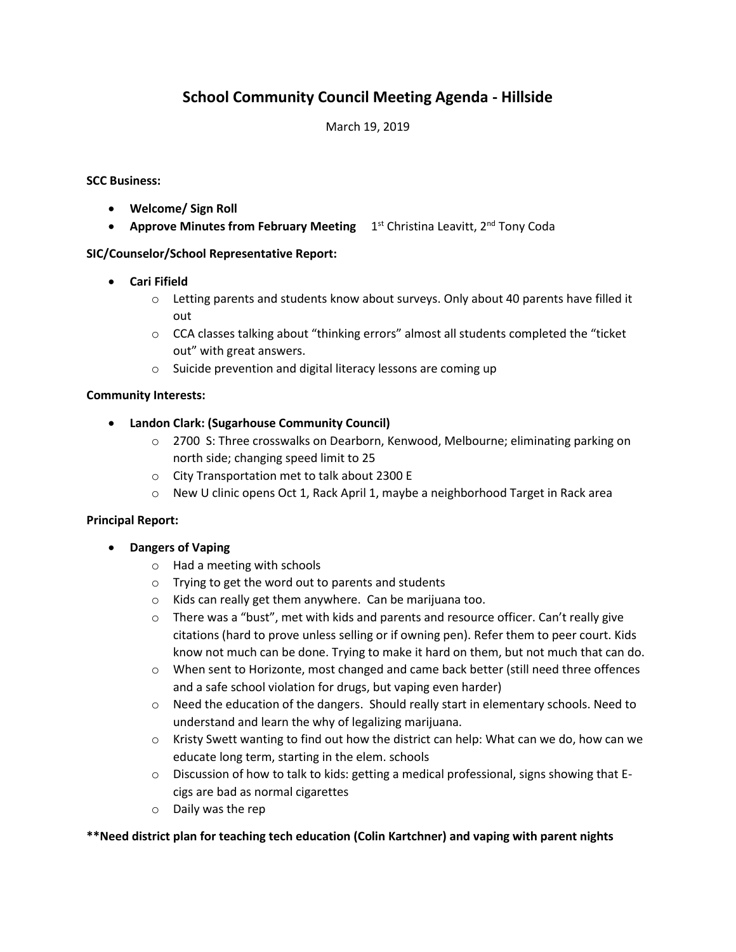# **School Community Council Meeting Agenda - Hillside**

## March 19, 2019

#### **SCC Business:**

- **Welcome/ Sign Roll**
- **Approve Minutes from February Meeting** 1<sup>st</sup> Christina Leavitt, 2<sup>nd</sup> Tony Coda

# **SIC/Counselor/School Representative Report:**

- **Cari Fifield**
	- $\circ$  Letting parents and students know about surveys. Only about 40 parents have filled it out
	- o CCA classes talking about "thinking errors" almost all students completed the "ticket out" with great answers.
	- o Suicide prevention and digital literacy lessons are coming up

### **Community Interests:**

- **Landon Clark: (Sugarhouse Community Council)**
	- o 2700 S: Three crosswalks on Dearborn, Kenwood, Melbourne; eliminating parking on north side; changing speed limit to 25
	- o City Transportation met to talk about 2300 E
	- $\circ$  New U clinic opens Oct 1, Rack April 1, maybe a neighborhood Target in Rack area

#### **Principal Report:**

- **Dangers of Vaping**
	- o Had a meeting with schools
	- o Trying to get the word out to parents and students
	- o Kids can really get them anywhere. Can be marijuana too.
	- $\circ$  There was a "bust", met with kids and parents and resource officer. Can't really give citations (hard to prove unless selling or if owning pen). Refer them to peer court. Kids know not much can be done. Trying to make it hard on them, but not much that can do.
	- o When sent to Horizonte, most changed and came back better (still need three offences and a safe school violation for drugs, but vaping even harder)
	- $\circ$  Need the education of the dangers. Should really start in elementary schools. Need to understand and learn the why of legalizing marijuana.
	- $\circ$  Kristy Swett wanting to find out how the district can help: What can we do, how can we educate long term, starting in the elem. schools
	- $\circ$  Discussion of how to talk to kids: getting a medical professional, signs showing that Ecigs are bad as normal cigarettes
	- o Daily was the rep

#### **\*\*Need district plan for teaching tech education (Colin Kartchner) and vaping with parent nights**